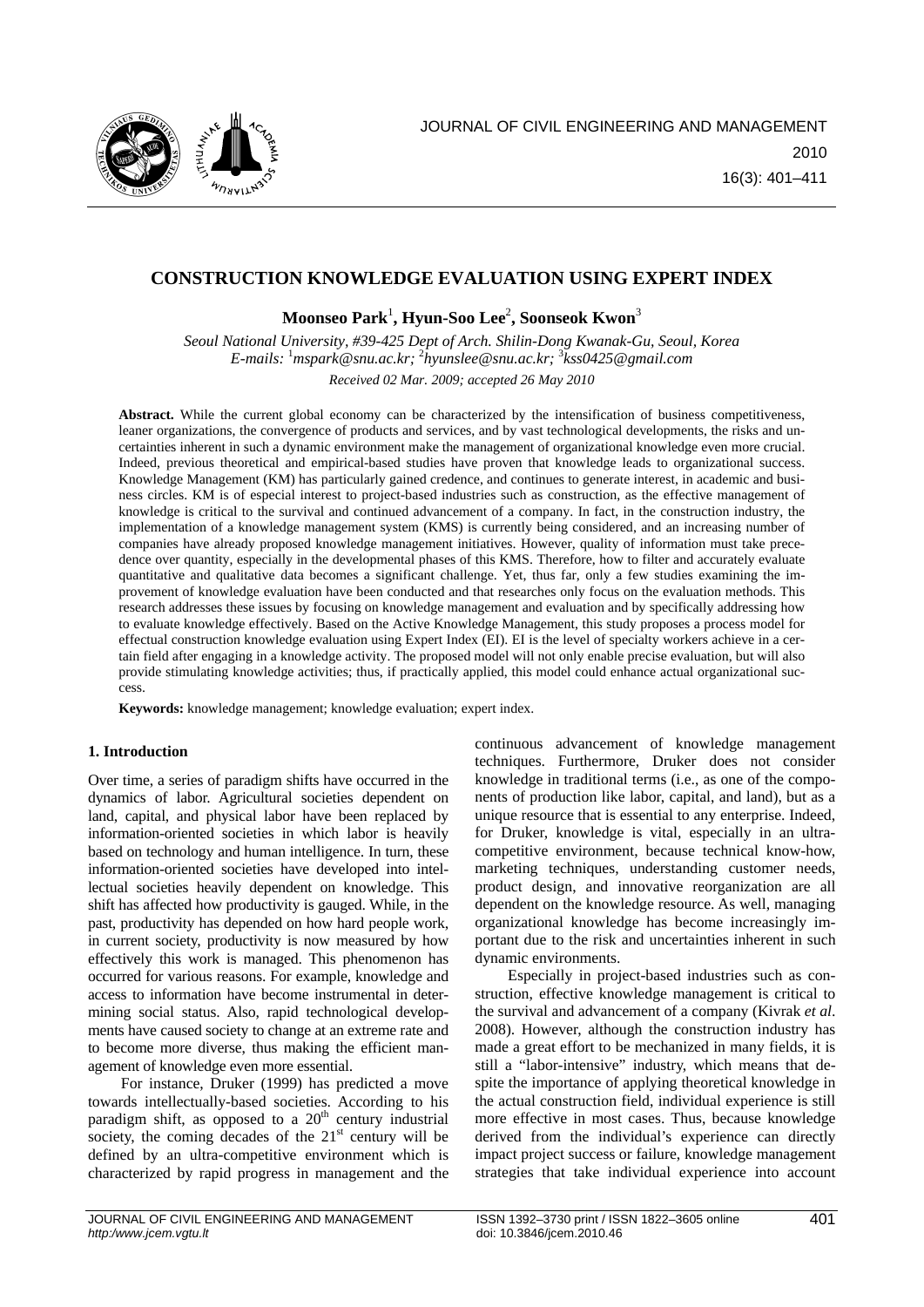

# **CONSTRUCTION KNOWLEDGE EVALUATION USING EXPERT INDEX**

**Moonseo Park**<sup>1</sup> **, Hyun-Soo Lee**<sup>2</sup> **, Soonseok Kwon**<sup>3</sup>

*Seoul National University, #39-425 Dept of Arch. Shilin-Dong Kwanak-Gu, Seoul, Korea E-mails:* <sup>1</sup> *mspark@snu.ac.kr;* <sup>2</sup> *hyunslee@snu.ac.kr;* <sup>3</sup> *kss0425@gmail.com Received 02 Mar. 2009; accepted 26 May 2010* 

**Abstract.** While the current global economy can be characterized by the intensification of business competitiveness, leaner organizations, the convergence of products and services, and by vast technological developments, the risks and uncertainties inherent in such a dynamic environment make the management of organizational knowledge even more crucial. Indeed, previous theoretical and empirical-based studies have proven that knowledge leads to organizational success. Knowledge Management (KM) has particularly gained credence, and continues to generate interest, in academic and business circles. KM is of especial interest to project-based industries such as construction, as the effective management of knowledge is critical to the survival and continued advancement of a company. In fact, in the construction industry, the implementation of a knowledge management system (KMS) is currently being considered, and an increasing number of companies have already proposed knowledge management initiatives. However, quality of information must take precedence over quantity, especially in the developmental phases of this KMS. Therefore, how to filter and accurately evaluate quantitative and qualitative data becomes a significant challenge. Yet, thus far, only a few studies examining the improvement of knowledge evaluation have been conducted and that researches only focus on the evaluation methods. This research addresses these issues by focusing on knowledge management and evaluation and by specifically addressing how to evaluate knowledge effectively. Based on the Active Knowledge Management, this study proposes a process model for effectual construction knowledge evaluation using Expert Index (EI). EI is the level of specialty workers achieve in a certain field after engaging in a knowledge activity. The proposed model will not only enable precise evaluation, but will also provide stimulating knowledge activities; thus, if practically applied, this model could enhance actual organizational success.

**Keywords:** knowledge management; knowledge evaluation; expert index.

## **1. Introduction**

Over time, a series of paradigm shifts have occurred in the dynamics of labor. Agricultural societies dependent on land, capital, and physical labor have been replaced by information-oriented societies in which labor is heavily based on technology and human intelligence. In turn, these information-oriented societies have developed into intellectual societies heavily dependent on knowledge. This shift has affected how productivity is gauged. While, in the past, productivity has depended on how hard people work, in current society, productivity is now measured by how effectively this work is managed. This phenomenon has occurred for various reasons. For example, knowledge and access to information have become instrumental in determining social status. Also, rapid technological developments have caused society to change at an extreme rate and to become more diverse, thus making the efficient management of knowledge even more essential.

For instance, Druker (1999) has predicted a move towards intellectually-based societies. According to his paradigm shift, as opposed to a  $20<sup>th</sup>$  century industrial society, the coming decades of the  $21<sup>st</sup>$  century will be defined by an ultra-competitive environment which is characterized by rapid progress in management and the continuous advancement of knowledge management techniques. Furthermore, Druker does not consider knowledge in traditional terms (i.e., as one of the components of production like labor, capital, and land), but as a unique resource that is essential to any enterprise. Indeed, for Druker, knowledge is vital, especially in an ultracompetitive environment, because technical know-how, marketing techniques, understanding customer needs, product design, and innovative reorganization are all dependent on the knowledge resource. As well, managing organizational knowledge has become increasingly important due to the risk and uncertainties inherent in such dynamic environments.

Especially in project-based industries such as construction, effective knowledge management is critical to the survival and advancement of a company (Kivrak *et al*. 2008). However, although the construction industry has made a great effort to be mechanized in many fields, it is still a "labor-intensive" industry, which means that despite the importance of applying theoretical knowledge in the actual construction field, individual experience is still more effective in most cases. Thus, because knowledge derived from the individual's experience can directly impact project success or failure, knowledge management strategies that take individual experience into account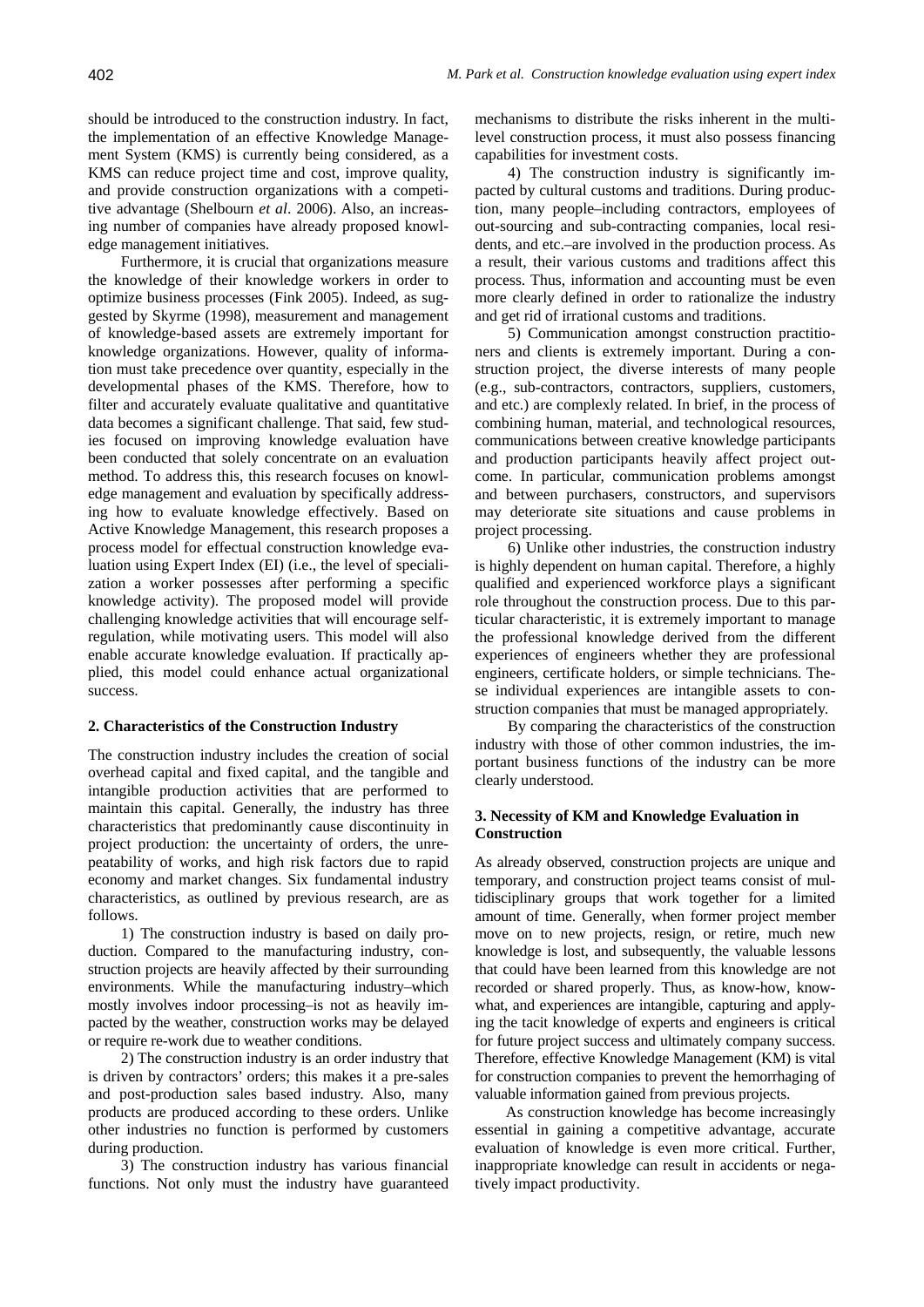should be introduced to the construction industry. In fact, the implementation of an effective Knowledge Management System (KMS) is currently being considered, as a KMS can reduce project time and cost, improve quality, and provide construction organizations with a competitive advantage (Shelbourn *et al*. 2006). Also, an increasing number of companies have already proposed knowledge management initiatives.

Furthermore, it is crucial that organizations measure the knowledge of their knowledge workers in order to optimize business processes (Fink 2005). Indeed, as suggested by Skyrme (1998), measurement and management of knowledge-based assets are extremely important for knowledge organizations. However, quality of information must take precedence over quantity, especially in the developmental phases of the KMS. Therefore, how to filter and accurately evaluate qualitative and quantitative data becomes a significant challenge. That said, few studies focused on improving knowledge evaluation have been conducted that solely concentrate on an evaluation method. To address this, this research focuses on knowledge management and evaluation by specifically addressing how to evaluate knowledge effectively. Based on Active Knowledge Management, this research proposes a process model for effectual construction knowledge evaluation using Expert Index (EI) (i.e., the level of specialization a worker possesses after performing a specific knowledge activity). The proposed model will provide challenging knowledge activities that will encourage selfregulation, while motivating users. This model will also enable accurate knowledge evaluation. If practically applied, this model could enhance actual organizational success.

#### **2. Characteristics of the Construction Industry**

The construction industry includes the creation of social overhead capital and fixed capital, and the tangible and intangible production activities that are performed to maintain this capital. Generally, the industry has three characteristics that predominantly cause discontinuity in project production: the uncertainty of orders, the unrepeatability of works, and high risk factors due to rapid economy and market changes. Six fundamental industry characteristics, as outlined by previous research, are as follows.

1) The construction industry is based on daily production. Compared to the manufacturing industry, construction projects are heavily affected by their surrounding environments. While the manufacturing industry–which mostly involves indoor processing–is not as heavily impacted by the weather, construction works may be delayed or require re-work due to weather conditions.

2) The construction industry is an order industry that is driven by contractors' orders; this makes it a pre-sales and post-production sales based industry. Also, many products are produced according to these orders. Unlike other industries no function is performed by customers during production.

3) The construction industry has various financial functions. Not only must the industry have guaranteed mechanisms to distribute the risks inherent in the multilevel construction process, it must also possess financing capabilities for investment costs.

4) The construction industry is significantly impacted by cultural customs and traditions. During production, many people–including contractors, employees of out-sourcing and sub-contracting companies, local residents, and etc.–are involved in the production process. As a result, their various customs and traditions affect this process. Thus, information and accounting must be even more clearly defined in order to rationalize the industry and get rid of irrational customs and traditions.

5) Communication amongst construction practitioners and clients is extremely important. During a construction project, the diverse interests of many people (e.g., sub-contractors, contractors, suppliers, customers, and etc.) are complexly related. In brief, in the process of combining human, material, and technological resources, communications between creative knowledge participants and production participants heavily affect project outcome. In particular, communication problems amongst and between purchasers, constructors, and supervisors may deteriorate site situations and cause problems in project processing.

6) Unlike other industries, the construction industry is highly dependent on human capital. Therefore, a highly qualified and experienced workforce plays a significant role throughout the construction process. Due to this particular characteristic, it is extremely important to manage the professional knowledge derived from the different experiences of engineers whether they are professional engineers, certificate holders, or simple technicians. These individual experiences are intangible assets to construction companies that must be managed appropriately.

By comparing the characteristics of the construction industry with those of other common industries, the important business functions of the industry can be more clearly understood.

## **3. Necessity of KM and Knowledge Evaluation in Construction**

As already observed, construction projects are unique and temporary, and construction project teams consist of multidisciplinary groups that work together for a limited amount of time. Generally, when former project member move on to new projects, resign, or retire, much new knowledge is lost, and subsequently, the valuable lessons that could have been learned from this knowledge are not recorded or shared properly. Thus, as know-how, knowwhat, and experiences are intangible, capturing and applying the tacit knowledge of experts and engineers is critical for future project success and ultimately company success. Therefore, effective Knowledge Management (KM) is vital for construction companies to prevent the hemorrhaging of valuable information gained from previous projects.

As construction knowledge has become increasingly essential in gaining a competitive advantage, accurate evaluation of knowledge is even more critical. Further, inappropriate knowledge can result in accidents or negatively impact productivity.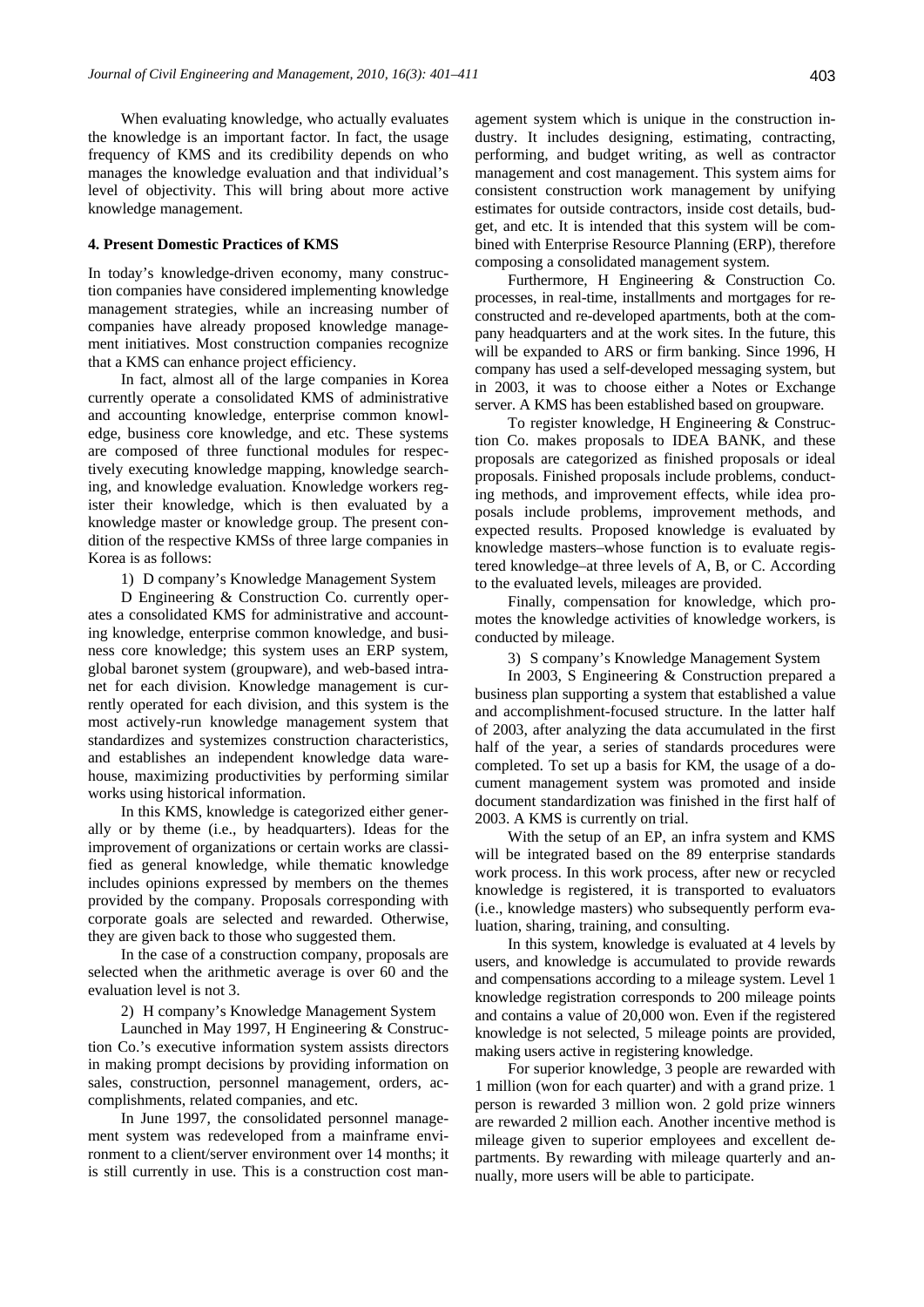When evaluating knowledge, who actually evaluates the knowledge is an important factor. In fact, the usage frequency of KMS and its credibility depends on who manages the knowledge evaluation and that individual's level of objectivity. This will bring about more active knowledge management.

#### **4. Present Domestic Practices of KMS**

In today's knowledge-driven economy, many construction companies have considered implementing knowledge management strategies, while an increasing number of companies have already proposed knowledge management initiatives. Most construction companies recognize that a KMS can enhance project efficiency.

In fact, almost all of the large companies in Korea currently operate a consolidated KMS of administrative and accounting knowledge, enterprise common knowledge, business core knowledge, and etc. These systems are composed of three functional modules for respectively executing knowledge mapping, knowledge searching, and knowledge evaluation. Knowledge workers register their knowledge, which is then evaluated by a knowledge master or knowledge group. The present condition of the respective KMSs of three large companies in Korea is as follows:

1) D company's Knowledge Management System

D Engineering & Construction Co. currently operates a consolidated KMS for administrative and accounting knowledge, enterprise common knowledge, and business core knowledge; this system uses an ERP system, global baronet system (groupware), and web-based intranet for each division. Knowledge management is currently operated for each division, and this system is the most actively-run knowledge management system that standardizes and systemizes construction characteristics, and establishes an independent knowledge data warehouse, maximizing productivities by performing similar works using historical information.

In this KMS, knowledge is categorized either generally or by theme (i.e., by headquarters). Ideas for the improvement of organizations or certain works are classified as general knowledge, while thematic knowledge includes opinions expressed by members on the themes provided by the company. Proposals corresponding with corporate goals are selected and rewarded. Otherwise, they are given back to those who suggested them.

In the case of a construction company, proposals are selected when the arithmetic average is over 60 and the evaluation level is not 3.

2) H company's Knowledge Management System

Launched in May 1997, H Engineering & Construction Co.'s executive information system assists directors in making prompt decisions by providing information on sales, construction, personnel management, orders, accomplishments, related companies, and etc.

In June 1997, the consolidated personnel management system was redeveloped from a mainframe environment to a client/server environment over 14 months; it is still currently in use. This is a construction cost management system which is unique in the construction industry. It includes designing, estimating, contracting, performing, and budget writing, as well as contractor management and cost management. This system aims for consistent construction work management by unifying estimates for outside contractors, inside cost details, budget, and etc. It is intended that this system will be combined with Enterprise Resource Planning (ERP), therefore composing a consolidated management system.

Furthermore, H Engineering & Construction Co. processes, in real-time, installments and mortgages for reconstructed and re-developed apartments, both at the company headquarters and at the work sites. In the future, this will be expanded to ARS or firm banking. Since 1996, H company has used a self-developed messaging system, but in 2003, it was to choose either a Notes or Exchange server. A KMS has been established based on groupware.

To register knowledge, H Engineering & Construction Co. makes proposals to IDEA BANK, and these proposals are categorized as finished proposals or ideal proposals. Finished proposals include problems, conducting methods, and improvement effects, while idea proposals include problems, improvement methods, and expected results. Proposed knowledge is evaluated by knowledge masters–whose function is to evaluate registered knowledge–at three levels of A, B, or C. According to the evaluated levels, mileages are provided.

Finally, compensation for knowledge, which promotes the knowledge activities of knowledge workers, is conducted by mileage.

3) S company's Knowledge Management System

In 2003, S Engineering & Construction prepared a business plan supporting a system that established a value and accomplishment-focused structure. In the latter half of 2003, after analyzing the data accumulated in the first half of the year, a series of standards procedures were completed. To set up a basis for KM, the usage of a document management system was promoted and inside document standardization was finished in the first half of 2003. A KMS is currently on trial.

With the setup of an EP, an infra system and KMS will be integrated based on the 89 enterprise standards work process. In this work process, after new or recycled knowledge is registered, it is transported to evaluators (i.e., knowledge masters) who subsequently perform evaluation, sharing, training, and consulting.

In this system, knowledge is evaluated at 4 levels by users, and knowledge is accumulated to provide rewards and compensations according to a mileage system. Level 1 knowledge registration corresponds to 200 mileage points and contains a value of 20,000 won. Even if the registered knowledge is not selected, 5 mileage points are provided, making users active in registering knowledge.

For superior knowledge, 3 people are rewarded with 1 million (won for each quarter) and with a grand prize. 1 person is rewarded 3 million won. 2 gold prize winners are rewarded 2 million each. Another incentive method is mileage given to superior employees and excellent departments. By rewarding with mileage quarterly and annually, more users will be able to participate.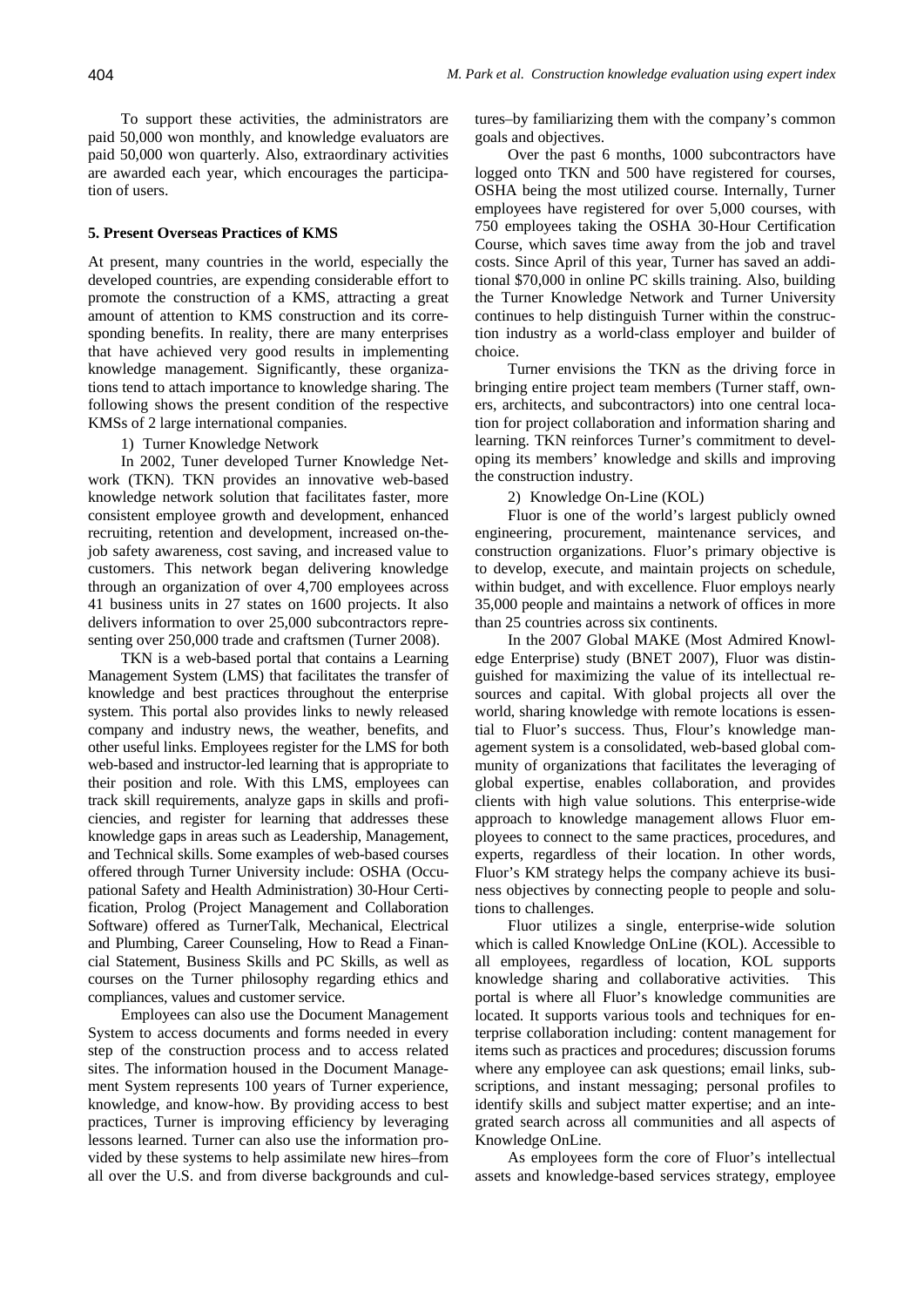To support these activities, the administrators are paid 50,000 won monthly, and knowledge evaluators are paid 50,000 won quarterly. Also, extraordinary activities are awarded each year, which encourages the participation of users.

#### **5. Present Overseas Practices of KMS**

At present, many countries in the world, especially the developed countries, are expending considerable effort to promote the construction of a KMS, attracting a great amount of attention to KMS construction and its corresponding benefits. In reality, there are many enterprises that have achieved very good results in implementing knowledge management. Significantly, these organizations tend to attach importance to knowledge sharing. The following shows the present condition of the respective KMSs of 2 large international companies.

1) Turner Knowledge Network

In 2002, Tuner developed Turner Knowledge Network (TKN). TKN provides an innovative web-based knowledge network solution that facilitates faster, more consistent employee growth and development, enhanced recruiting, retention and development, increased on-thejob safety awareness, cost saving, and increased value to customers. This network began delivering knowledge through an organization of over 4,700 employees across 41 business units in 27 states on 1600 projects. It also delivers information to over 25,000 subcontractors representing over 250,000 trade and craftsmen (Turner 2008).

TKN is a web-based portal that contains a Learning Management System (LMS) that facilitates the transfer of knowledge and best practices throughout the enterprise system. This portal also provides links to newly released company and industry news, the weather, benefits, and other useful links. Employees register for the LMS for both web-based and instructor-led learning that is appropriate to their position and role. With this LMS, employees can track skill requirements, analyze gaps in skills and proficiencies, and register for learning that addresses these knowledge gaps in areas such as Leadership, Management, and Technical skills. Some examples of web-based courses offered through Turner University include: OSHA (Occupational Safety and Health Administration) 30-Hour Certification, Prolog (Project Management and Collaboration Software) offered as TurnerTalk, Mechanical, Electrical and Plumbing, Career Counseling, How to Read a Financial Statement, Business Skills and PC Skills, as well as courses on the Turner philosophy regarding ethics and compliances, values and customer service.

Employees can also use the Document Management System to access documents and forms needed in every step of the construction process and to access related sites. The information housed in the Document Management System represents 100 years of Turner experience, knowledge, and know-how. By providing access to best practices, Turner is improving efficiency by leveraging lessons learned. Turner can also use the information provided by these systems to help assimilate new hires–from all over the U.S. and from diverse backgrounds and cultures–by familiarizing them with the company's common goals and objectives.

Over the past 6 months, 1000 subcontractors have logged onto TKN and 500 have registered for courses, OSHA being the most utilized course. Internally, Turner employees have registered for over 5,000 courses, with 750 employees taking the OSHA 30-Hour Certification Course, which saves time away from the job and travel costs. Since April of this year, Turner has saved an additional \$70,000 in online PC skills training. Also, building the Turner Knowledge Network and Turner University continues to help distinguish Turner within the construction industry as a world-class employer and builder of choice.

Turner envisions the TKN as the driving force in bringing entire project team members (Turner staff, owners, architects, and subcontractors) into one central location for project collaboration and information sharing and learning. TKN reinforces Turner's commitment to developing its members' knowledge and skills and improving the construction industry.

2) Knowledge On-Line (KOL)

Fluor is one of the world's largest publicly owned engineering, procurement, maintenance services, and construction organizations. Fluor's primary objective is to develop, execute, and maintain projects on schedule, within budget, and with excellence. Fluor employs nearly 35,000 people and maintains a network of offices in more than 25 countries across six continents.

In the 2007 Global MAKE (Most Admired Knowledge Enterprise) study (BNET 2007), Fluor was distinguished for maximizing the value of its intellectual resources and capital. With global projects all over the world, sharing knowledge with remote locations is essential to Fluor's success. Thus, Flour's knowledge management system is a consolidated, web-based global community of organizations that facilitates the leveraging of global expertise, enables collaboration, and provides clients with high value solutions. This enterprise-wide approach to knowledge management allows Fluor employees to connect to the same practices, procedures, and experts, regardless of their location. In other words, Fluor's KM strategy helps the company achieve its business objectives by connecting people to people and solutions to challenges.

Fluor utilizes a single, enterprise-wide solution which is called Knowledge OnLine (KOL). Accessible to all employees, regardless of location, KOL supports knowledge sharing and collaborative activities. This portal is where all Fluor's knowledge communities are located. It supports various tools and techniques for enterprise collaboration including: content management for items such as practices and procedures; discussion forums where any employee can ask questions; email links, subscriptions, and instant messaging; personal profiles to identify skills and subject matter expertise; and an integrated search across all communities and all aspects of Knowledge OnLine.

As employees form the core of Fluor's intellectual assets and knowledge-based services strategy, employee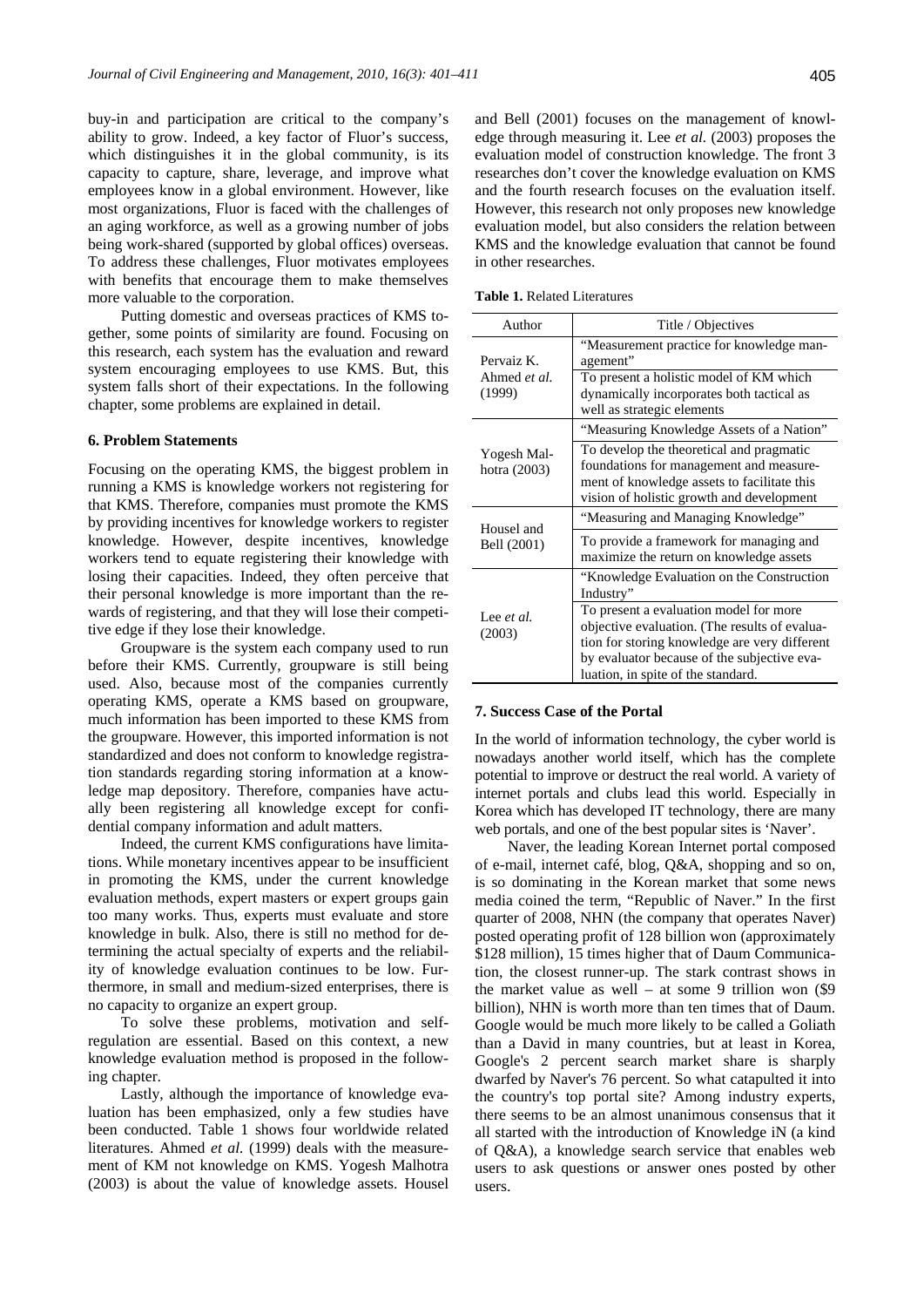buy-in and participation are critical to the company's ability to grow. Indeed, a key factor of Fluor's success, which distinguishes it in the global community, is its capacity to capture, share, leverage, and improve what employees know in a global environment. However, like most organizations, Fluor is faced with the challenges of an aging workforce, as well as a growing number of jobs being work-shared (supported by global offices) overseas. To address these challenges, Fluor motivates employees with benefits that encourage them to make themselves more valuable to the corporation.

Putting domestic and overseas practices of KMS together, some points of similarity are found. Focusing on this research, each system has the evaluation and reward system encouraging employees to use KMS. But, this system falls short of their expectations. In the following chapter, some problems are explained in detail.

### **6. Problem Statements**

Focusing on the operating KMS, the biggest problem in running a KMS is knowledge workers not registering for that KMS. Therefore, companies must promote the KMS by providing incentives for knowledge workers to register knowledge. However, despite incentives, knowledge workers tend to equate registering their knowledge with losing their capacities. Indeed, they often perceive that their personal knowledge is more important than the rewards of registering, and that they will lose their competitive edge if they lose their knowledge.

Groupware is the system each company used to run before their KMS. Currently, groupware is still being used. Also, because most of the companies currently operating KMS, operate a KMS based on groupware, much information has been imported to these KMS from the groupware. However, this imported information is not standardized and does not conform to knowledge registration standards regarding storing information at a knowledge map depository. Therefore, companies have actually been registering all knowledge except for confidential company information and adult matters.

Indeed, the current KMS configurations have limitations. While monetary incentives appear to be insufficient in promoting the KMS, under the current knowledge evaluation methods, expert masters or expert groups gain too many works. Thus, experts must evaluate and store knowledge in bulk. Also, there is still no method for determining the actual specialty of experts and the reliability of knowledge evaluation continues to be low. Furthermore, in small and medium-sized enterprises, there is no capacity to organize an expert group.

To solve these problems, motivation and selfregulation are essential. Based on this context, a new knowledge evaluation method is proposed in the following chapter.

Lastly, although the importance of knowledge evaluation has been emphasized, only a few studies have been conducted. Table 1 shows four worldwide related literatures. Ahmed *et al.* (1999) deals with the measurement of KM not knowledge on KMS. Yogesh Malhotra (2003) is about the value of knowledge assets. Housel and Bell (2001) focuses on the management of knowledge through measuring it. Lee *et al.* (2003) proposes the evaluation model of construction knowledge. The front 3 researches don't cover the knowledge evaluation on KMS and the fourth research focuses on the evaluation itself. However, this research not only proposes new knowledge evaluation model, but also considers the relation between KMS and the knowledge evaluation that cannot be found in other researches.

**Table 1.** Related Literatures

| Author                      | Title / Objectives                                                                                                                                                                                                            |
|-----------------------------|-------------------------------------------------------------------------------------------------------------------------------------------------------------------------------------------------------------------------------|
| Pervaiz K.                  | "Measurement practice for knowledge man-<br>agement"                                                                                                                                                                          |
| Ahmed et al.                | To present a holistic model of KM which                                                                                                                                                                                       |
| (1999)                      | dynamically incorporates both tactical as                                                                                                                                                                                     |
|                             | well as strategic elements                                                                                                                                                                                                    |
|                             | "Measuring Knowledge Assets of a Nation"                                                                                                                                                                                      |
| Yogesh Mal-<br>hotra (2003) | To develop the theoretical and pragmatic<br>foundations for management and measure-<br>ment of knowledge assets to facilitate this<br>vision of holistic growth and development                                               |
|                             | "Measuring and Managing Knowledge"                                                                                                                                                                                            |
| Housel and<br>Bell (2001)   | To provide a framework for managing and<br>maximize the return on knowledge assets                                                                                                                                            |
|                             | "Knowledge Evaluation on the Construction<br>Industry"                                                                                                                                                                        |
| Lee <i>et al.</i><br>(2003) | To present a evaluation model for more<br>objective evaluation. (The results of evalua-<br>tion for storing knowledge are very different<br>by evaluator because of the subjective eva-<br>luation, in spite of the standard. |

#### **7. Success Case of the Portal**

In the world of information technology, the cyber world is nowadays another world itself, which has the complete potential to improve or destruct the real world. A variety of internet portals and clubs lead this world. Especially in Korea which has developed IT technology, there are many web portals, and one of the best popular sites is 'Naver'.

Naver, the leading Korean Internet portal composed of e-mail, internet café, blog, Q&A, shopping and so on, is so dominating in the Korean market that some news media coined the term, "Republic of Naver." In the first quarter of 2008, NHN (the company that operates Naver) posted operating profit of 128 billion won (approximately \$128 million), 15 times higher that of Daum Communication, the closest runner-up. The stark contrast shows in the market value as well – at some 9 trillion won  $(\$9$ billion), NHN is worth more than ten times that of Daum. Google would be much more likely to be called a Goliath than a David in many countries, but at least in Korea, Google's 2 percent search market share is sharply dwarfed by Naver's 76 percent. So what catapulted it into the country's top portal site? Among industry experts, there seems to be an almost unanimous consensus that it all started with the introduction of Knowledge iN (a kind of Q&A), a knowledge search service that enables web users to ask questions or answer ones posted by other users.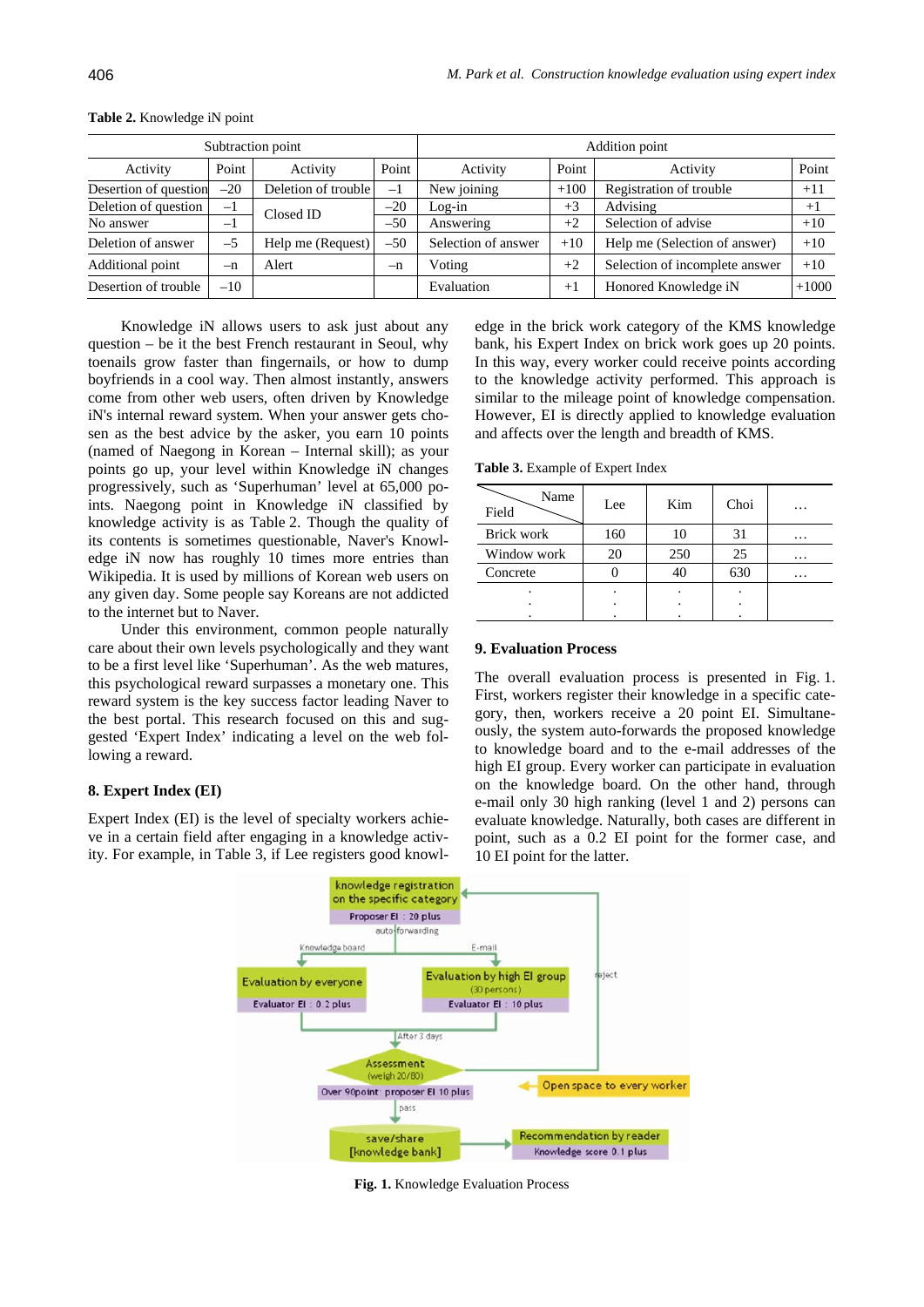| Subtraction point     |       |                     | Addition point |                     |        |                                |         |
|-----------------------|-------|---------------------|----------------|---------------------|--------|--------------------------------|---------|
| Activity              | Point | Activity            | Point          | Activity            | Point  | Activity                       | Point   |
| Desertion of question | $-20$ | Deletion of trouble | $-\mathbf{I}$  | New joining         | $+100$ | Registration of trouble        | $+11$   |
| Deletion of question  | $-1$  | Closed ID           | $-20$          | $Log-in$            | $+3$   | Advising                       | $+1$    |
| No answer             | $-1$  |                     | $-50$          | Answering           | $+2$   | Selection of advise            | $+10$   |
| Deletion of answer    | $-5$  | Help me (Request)   | $-50$          | Selection of answer | $+10$  | Help me (Selection of answer)  | $+10$   |
| Additional point      | $-n$  | Alert               | $-n$           | Voting              | $+2$   | Selection of incomplete answer | $+10$   |
| Desertion of trouble  | $-10$ |                     |                | Evaluation          | $+1$   | Honored Knowledge iN           | $+1000$ |

**Table 2.** Knowledge iN point

Knowledge iN allows users to ask just about any question – be it the best French restaurant in Seoul, why toenails grow faster than fingernails, or how to dump boyfriends in a cool way. Then almost instantly, answers come from other web users, often driven by Knowledge iN's internal reward system. When your answer gets chosen as the best advice by the asker, you earn 10 points (named of Naegong in Korean – Internal skill); as your points go up, your level within Knowledge iN changes progressively, such as 'Superhuman' level at 65,000 points. Naegong point in Knowledge iN classified by knowledge activity is as Table 2. Though the quality of its contents is sometimes questionable, Naver's Knowledge iN now has roughly 10 times more entries than Wikipedia. It is used by millions of Korean web users on any given day. Some people say Koreans are not addicted to the internet but to Naver.

Under this environment, common people naturally care about their own levels psychologically and they want to be a first level like 'Superhuman'. As the web matures, this psychological reward surpasses a monetary one. This reward system is the key success factor leading Naver to the best portal. This research focused on this and suggested 'Expert Index' indicating a level on the web following a reward.

#### **8. Expert Index (EI)**

Expert Index (EI) is the level of specialty workers achieve in a certain field after engaging in a knowledge activity. For example, in Table 3, if Lee registers good knowledge in the brick work category of the KMS knowledge bank, his Expert Index on brick work goes up 20 points. In this way, every worker could receive points according to the knowledge activity performed. This approach is similar to the mileage point of knowledge compensation. However, EI is directly applied to knowledge evaluation and affects over the length and breadth of KMS.

**Table 3.** Example of Expert Index

| Name<br>Field | Lee | Kim | Choi | . |
|---------------|-----|-----|------|---|
| Brick work    | 160 | 10  | 31   | . |
| Window work   | 20  | 250 | 25   | . |
| Concrete      |     | 40  | 630  | . |
|               |     |     |      |   |
|               |     |     |      |   |
|               |     |     |      |   |

#### **9. Evaluation Process**

The overall evaluation process is presented in Fig. 1. First, workers register their knowledge in a specific category, then, workers receive a 20 point EI. Simultaneously, the system auto-forwards the proposed knowledge to knowledge board and to the e-mail addresses of the high EI group. Every worker can participate in evaluation on the knowledge board. On the other hand, through e-mail only 30 high ranking (level 1 and 2) persons can evaluate knowledge. Naturally, both cases are different in point, such as a 0.2 EI point for the former case, and 10 EI point for the latter.



**Fig. 1.** Knowledge Evaluation Process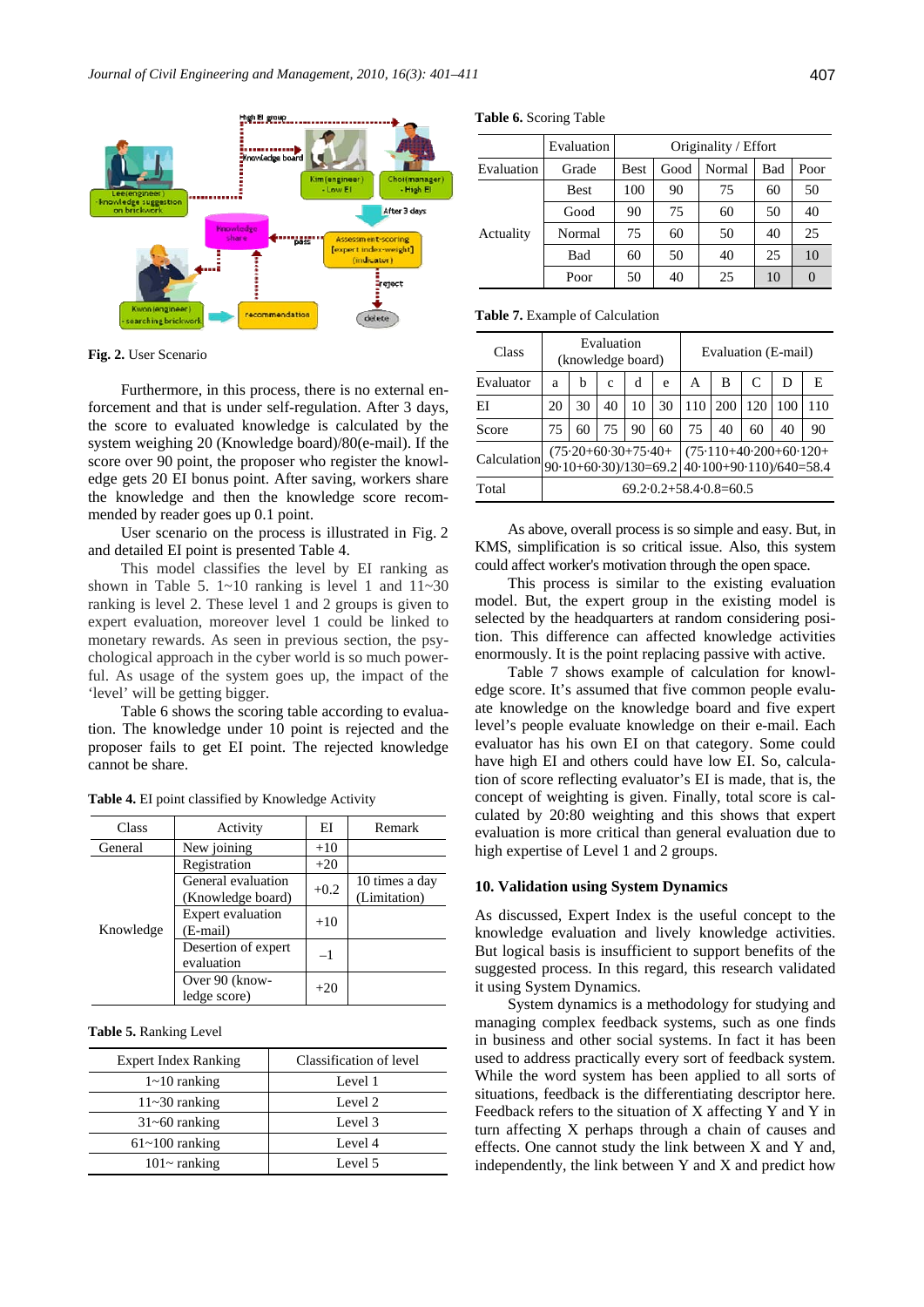

**Fig. 2.** User Scenario

Furthermore, in this process, there is no external enforcement and that is under self-regulation. After 3 days, the score to evaluated knowledge is calculated by the system weighing 20 (Knowledge board)/80(e-mail). If the score over 90 point, the proposer who register the knowledge gets 20 EI bonus point. After saving, workers share the knowledge and then the knowledge score recommended by reader goes up 0.1 point.

User scenario on the process is illustrated in Fig. 2 and detailed EI point is presented Table 4.

This model classifies the level by EI ranking as shown in Table 5.  $1 \sim 10$  ranking is level 1 and  $11 \sim 30$ ranking is level 2. These level 1 and 2 groups is given to expert evaluation, moreover level 1 could be linked to monetary rewards. As seen in previous section, the psychological approach in the cyber world is so much powerful. As usage of the system goes up, the impact of the 'level' will be getting bigger.

Table 6 shows the scoring table according to evaluation. The knowledge under 10 point is rejected and the proposer fails to get EI point. The rejected knowledge cannot be share.

| Class     | Activity                                          | EI    | Remark                         |
|-----------|---------------------------------------------------|-------|--------------------------------|
| General   | New joining                                       | $+10$ |                                |
|           | Registration                                      | $+20$ |                                |
| Knowledge | General evaluation<br>$+0.2$<br>(Knowledge board) |       | 10 times a day<br>(Limitation) |
|           | Expert evaluation<br>(E-mail)                     | $+10$ |                                |
|           | Desertion of expert<br>evaluation                 | $-1$  |                                |
|           | Over 90 (know-<br>ledge score)                    | $+20$ |                                |

**Table 4.** EI point classified by Knowledge Activity

**Table 5.** Ranking Level

| <b>Expert Index Ranking</b> | Classification of level |
|-----------------------------|-------------------------|
| $1 \sim 10$ ranking         | Level 1                 |
| $11 - 30$ ranking           | Level 2                 |
| $31 - 60$ ranking           | Level 3                 |
| $61~100$ ranking            | Level 4                 |
| $101 -$ ranking             | Level 5                 |

**Table 6.** Scoring Table

|            | Evaluation  | Originality / Effort |      |        |     |          |  |  |
|------------|-------------|----------------------|------|--------|-----|----------|--|--|
| Evaluation | Grade       | <b>Best</b>          | Good | Normal | Bad | Poor     |  |  |
| Actuality  | <b>Best</b> | 100                  | 90   | 75     | 60  | 50       |  |  |
|            | Good        | 90                   | 75   | 60     | 50  | 40       |  |  |
|            | Normal      | 75                   | 60   | 50     | 40  | 25       |  |  |
|            | Bad         | 60                   | 50   | 40     | 25  | 10       |  |  |
|            | Poor        | 50                   | 40   | 25     | 10  | $\Omega$ |  |  |

**Table 7.** Example of Calculation

| Class       | Evaluation<br>(knowledge board)                                               |    |              |    | Evaluation (E-mail) |     |                          |     |     |     |
|-------------|-------------------------------------------------------------------------------|----|--------------|----|---------------------|-----|--------------------------|-----|-----|-----|
| Evaluator   | a                                                                             | b  | $\mathbf{c}$ | d  | e                   | A   | В                        | C   | D   | F.  |
| EI          | 20                                                                            | 30 | 40           | 10 | 30                  | 110 | 200                      | 120 | 100 | 110 |
| Score       | 75                                                                            | 60 | 75           | 90 | 60                  | 75  | 40                       | 60  | 40  | 90  |
| Calculation | $(75.20 + 60.30 + 75.40 +$<br>$90.10+60.30)/130=69.2$ 40.100+90.110)/640=58.4 |    |              |    |                     |     | $(75.110+40.200+60.120+$ |     |     |     |
| Total       | $69.2 \cdot 0.2 + 58.4 \cdot 0.8 = 60.5$                                      |    |              |    |                     |     |                          |     |     |     |

As above, overall process is so simple and easy. But, in KMS, simplification is so critical issue. Also, this system could affect worker's motivation through the open space.

This process is similar to the existing evaluation model. But, the expert group in the existing model is selected by the headquarters at random considering position. This difference can affected knowledge activities enormously. It is the point replacing passive with active.

Table 7 shows example of calculation for knowledge score. It's assumed that five common people evaluate knowledge on the knowledge board and five expert level's people evaluate knowledge on their e-mail. Each evaluator has his own EI on that category. Some could have high EI and others could have low EI. So, calculation of score reflecting evaluator's EI is made, that is, the concept of weighting is given. Finally, total score is calculated by 20:80 weighting and this shows that expert evaluation is more critical than general evaluation due to high expertise of Level 1 and 2 groups.

#### **10. Validation using System Dynamics**

As discussed, Expert Index is the useful concept to the knowledge evaluation and lively knowledge activities. But logical basis is insufficient to support benefits of the suggested process. In this regard, this research validated it using System Dynamics.

System dynamics is a methodology for studying and managing complex feedback systems, such as one finds in business and other social systems. In fact it has been used to address practically every sort of feedback system. While the word system has been applied to all sorts of situations, feedback is the differentiating descriptor here. Feedback refers to the situation of X affecting Y and Y in turn affecting X perhaps through a chain of causes and effects. One cannot study the link between X and Y and, independently, the link between Y and X and predict how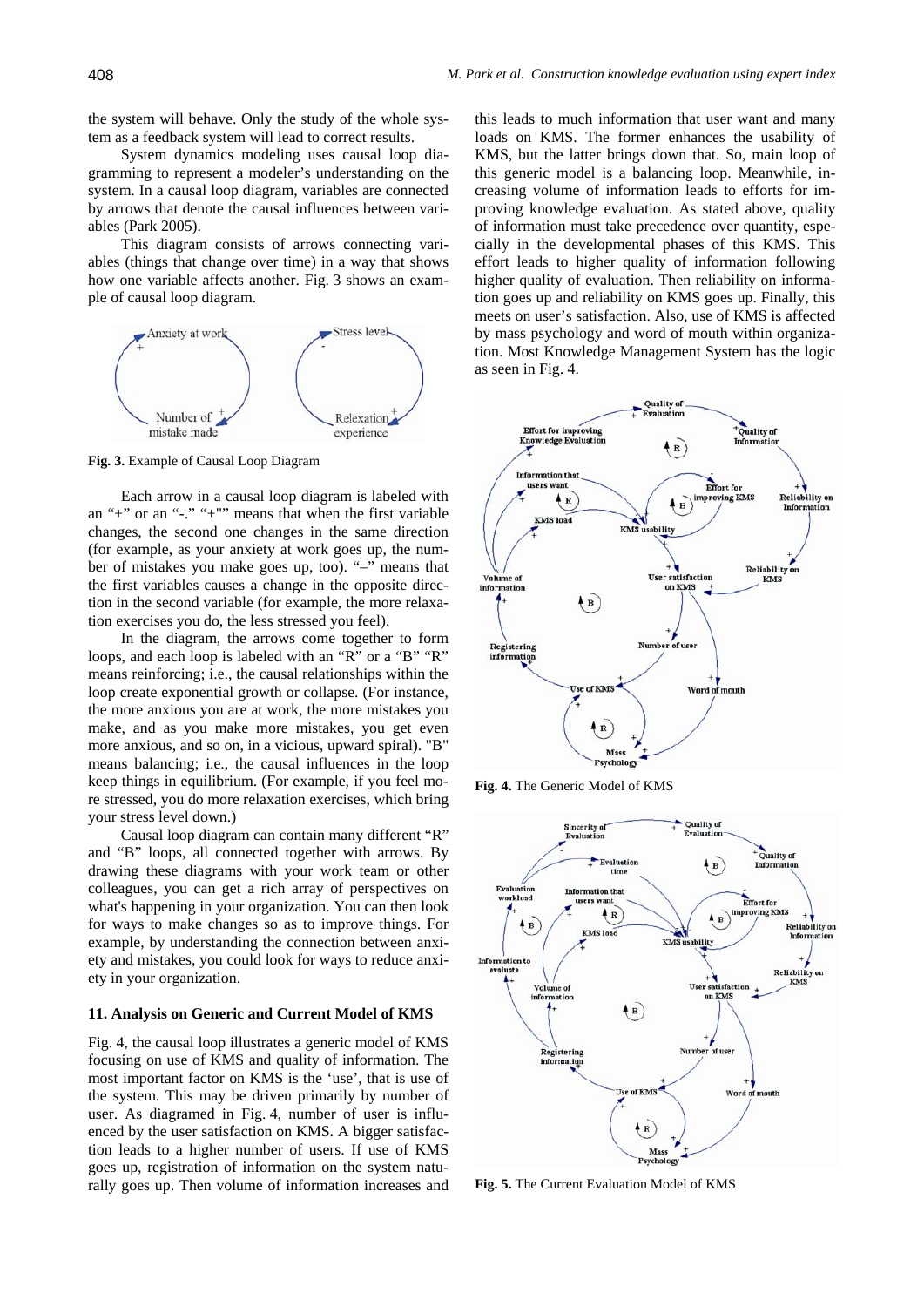the system will behave. Only the study of the whole system as a feedback system will lead to correct results.

System dynamics modeling uses causal loop diagramming to represent a modeler's understanding on the system. In a causal loop diagram, variables are connected by arrows that denote the causal influences between variables (Park 2005).

This diagram consists of arrows connecting variables (things that change over time) in a way that shows how one variable affects another. Fig. 3 shows an example of causal loop diagram.



**Fig. 3.** Example of Causal Loop Diagram

Each arrow in a causal loop diagram is labeled with an "+" or an "-." "+"" means that when the first variable changes, the second one changes in the same direction (for example, as your anxiety at work goes up, the number of mistakes you make goes up, too). "–" means that the first variables causes a change in the opposite direction in the second variable (for example, the more relaxation exercises you do, the less stressed you feel).

In the diagram, the arrows come together to form loops, and each loop is labeled with an "R" or a "B" "R" means reinforcing; i.e., the causal relationships within the loop create exponential growth or collapse. (For instance, the more anxious you are at work, the more mistakes you make, and as you make more mistakes, you get even more anxious, and so on, in a vicious, upward spiral). "B" means balancing; i.e., the causal influences in the loop keep things in equilibrium. (For example, if you feel more stressed, you do more relaxation exercises, which bring your stress level down.)

Causal loop diagram can contain many different "R" and "B" loops, all connected together with arrows. By drawing these diagrams with your work team or other colleagues, you can get a rich array of perspectives on what's happening in your organization. You can then look for ways to make changes so as to improve things. For example, by understanding the connection between anxiety and mistakes, you could look for ways to reduce anxiety in your organization.

#### **11. Analysis on Generic and Current Model of KMS**

Fig. 4, the causal loop illustrates a generic model of KMS focusing on use of KMS and quality of information. The most important factor on KMS is the 'use', that is use of the system. This may be driven primarily by number of user. As diagramed in Fig. 4, number of user is influenced by the user satisfaction on KMS. A bigger satisfaction leads to a higher number of users. If use of KMS goes up, registration of information on the system naturally goes up. Then volume of information increases and this leads to much information that user want and many loads on KMS. The former enhances the usability of KMS, but the latter brings down that. So, main loop of this generic model is a balancing loop. Meanwhile, increasing volume of information leads to efforts for improving knowledge evaluation. As stated above, quality of information must take precedence over quantity, especially in the developmental phases of this KMS. This effort leads to higher quality of information following higher quality of evaluation. Then reliability on information goes up and reliability on KMS goes up. Finally, this meets on user's satisfaction. Also, use of KMS is affected by mass psychology and word of mouth within organization. Most Knowledge Management System has the logic as seen in Fig. 4.



**Fig. 4.** The Generic Model of KMS



**Fig. 5.** The Current Evaluation Model of KMS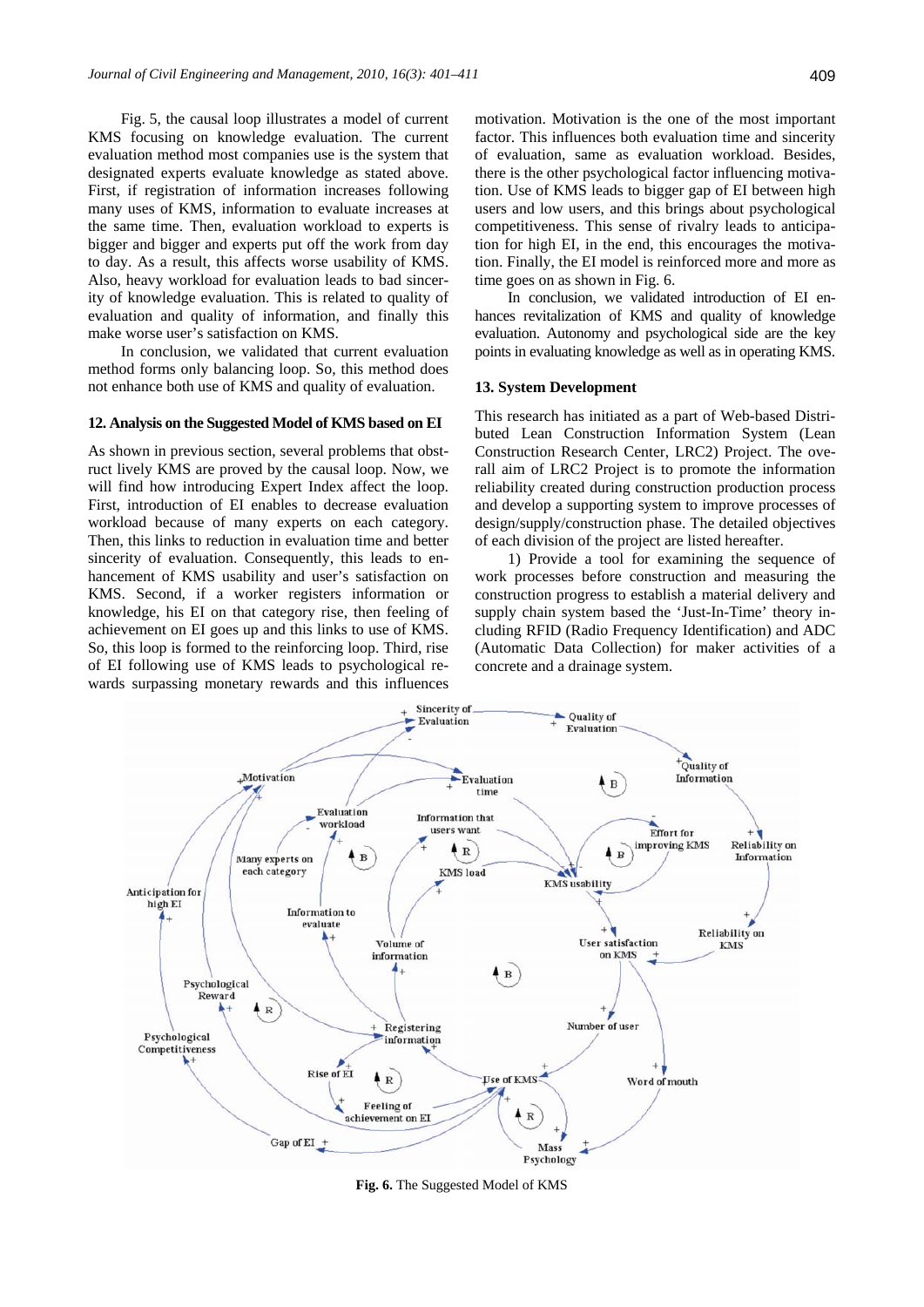Fig. 5, the causal loop illustrates a model of current KMS focusing on knowledge evaluation. The current evaluation method most companies use is the system that designated experts evaluate knowledge as stated above. First, if registration of information increases following many uses of KMS, information to evaluate increases at the same time. Then, evaluation workload to experts is bigger and bigger and experts put off the work from day to day. As a result, this affects worse usability of KMS. Also, heavy workload for evaluation leads to bad sincerity of knowledge evaluation. This is related to quality of evaluation and quality of information, and finally this make worse user's satisfaction on KMS.

In conclusion, we validated that current evaluation method forms only balancing loop. So, this method does not enhance both use of KMS and quality of evaluation.

#### **12. Analysis on the Suggested Model of KMS based on EI**

As shown in previous section, several problems that obstruct lively KMS are proved by the causal loop. Now, we will find how introducing Expert Index affect the loop. First, introduction of EI enables to decrease evaluation workload because of many experts on each category. Then, this links to reduction in evaluation time and better sincerity of evaluation. Consequently, this leads to enhancement of KMS usability and user's satisfaction on KMS. Second, if a worker registers information or knowledge, his EI on that category rise, then feeling of achievement on EI goes up and this links to use of KMS. So, this loop is formed to the reinforcing loop. Third, rise of EI following use of KMS leads to psychological rewards surpassing monetary rewards and this influences motivation. Motivation is the one of the most important factor. This influences both evaluation time and sincerity of evaluation, same as evaluation workload. Besides, there is the other psychological factor influencing motivation. Use of KMS leads to bigger gap of EI between high users and low users, and this brings about psychological competitiveness. This sense of rivalry leads to anticipation for high EI, in the end, this encourages the motivation. Finally, the EI model is reinforced more and more as time goes on as shown in Fig. 6.

In conclusion, we validated introduction of EI enhances revitalization of KMS and quality of knowledge evaluation. Autonomy and psychological side are the key points in evaluating knowledge as well as in operating KMS.

### **13. System Development**

This research has initiated as a part of Web-based Distributed Lean Construction Information System (Lean Construction Research Center, LRC2) Project. The overall aim of LRC2 Project is to promote the information reliability created during construction production process and develop a supporting system to improve processes of design/supply/construction phase. The detailed objectives of each division of the project are listed hereafter.

1) Provide a tool for examining the sequence of work processes before construction and measuring the construction progress to establish a material delivery and supply chain system based the 'Just-In-Time' theory including RFID (Radio Frequency Identification) and ADC (Automatic Data Collection) for maker activities of a concrete and a drainage system.



**Fig. 6.** The Suggested Model of KMS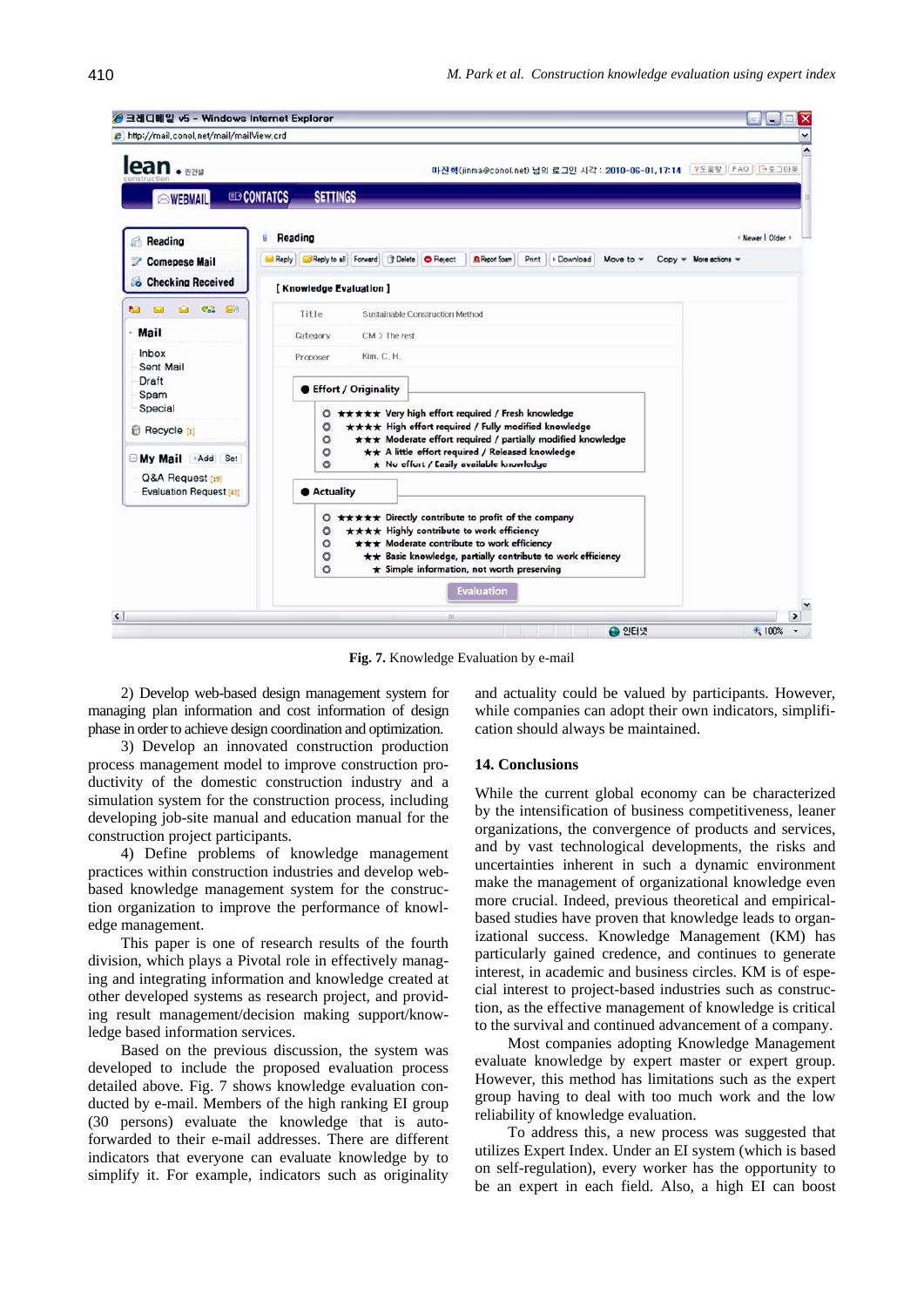

**Fig. 7.** Knowledge Evaluation by e-mail

2) Develop web-based design management system for managing plan information and cost information of design phase in order to achieve design coordination and optimization.

3) Develop an innovated construction production process management model to improve construction productivity of the domestic construction industry and a simulation system for the construction process, including developing job-site manual and education manual for the construction project participants.

4) Define problems of knowledge management practices within construction industries and develop webbased knowledge management system for the construction organization to improve the performance of knowledge management.

This paper is one of research results of the fourth division, which plays a Pivotal role in effectively managing and integrating information and knowledge created at other developed systems as research project, and providing result management/decision making support/knowledge based information services.

Based on the previous discussion, the system was developed to include the proposed evaluation process detailed above. Fig. 7 shows knowledge evaluation conducted by e-mail. Members of the high ranking EI group (30 persons) evaluate the knowledge that is autoforwarded to their e-mail addresses. There are different indicators that everyone can evaluate knowledge by to simplify it. For example, indicators such as originality and actuality could be valued by participants. However, while companies can adopt their own indicators, simplification should always be maintained.

#### **14. Conclusions**

While the current global economy can be characterized by the intensification of business competitiveness, leaner organizations, the convergence of products and services, and by vast technological developments, the risks and uncertainties inherent in such a dynamic environment make the management of organizational knowledge even more crucial. Indeed, previous theoretical and empiricalbased studies have proven that knowledge leads to organizational success. Knowledge Management (KM) has particularly gained credence, and continues to generate interest, in academic and business circles. KM is of especial interest to project-based industries such as construction, as the effective management of knowledge is critical to the survival and continued advancement of a company.

Most companies adopting Knowledge Management evaluate knowledge by expert master or expert group. However, this method has limitations such as the expert group having to deal with too much work and the low reliability of knowledge evaluation.

To address this, a new process was suggested that utilizes Expert Index. Under an EI system (which is based on self-regulation), every worker has the opportunity to be an expert in each field. Also, a high EI can boost